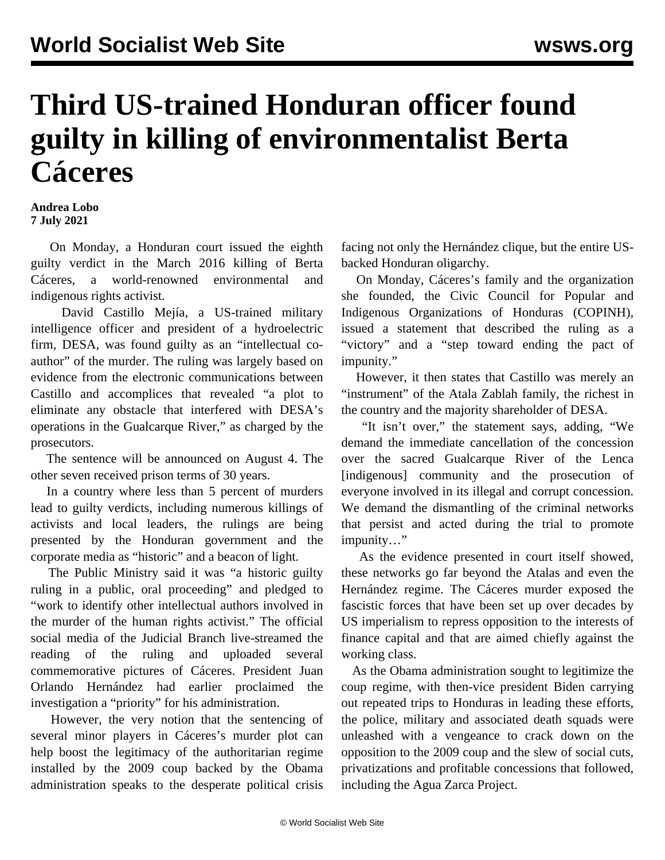## **Third US-trained Honduran officer found guilty in killing of environmentalist Berta Cáceres**

## **Andrea Lobo 7 July 2021**

 On Monday, a Honduran court issued the eighth guilty verdict in the March 2016 killing of Berta Cáceres, a world-renowned environmental and indigenous rights activist.

 David Castillo Mejía, a US-trained military intelligence officer and president of a hydroelectric firm, DESA, was found guilty as an "intellectual coauthor" of the murder. The ruling was largely based on evidence from the electronic communications between Castillo and accomplices that revealed "a plot to eliminate any obstacle that interfered with DESA's operations in the Gualcarque River," as charged by the prosecutors.

 The sentence will be announced on August 4. The other seven received prison terms of 30 years.

 In a country where less than 5 percent of murders lead to guilty verdicts, including numerous killings of activists and local leaders, the rulings are being presented by the Honduran government and the corporate media as "historic" and a beacon of light.

 The Public Ministry said it was "a historic guilty ruling in a public, oral proceeding" and pledged to "work to identify other intellectual authors involved in the murder of the human rights activist." The official social media of the Judicial Branch live-streamed the reading of the ruling and uploaded several commemorative pictures of Cáceres. President Juan Orlando Hernández had earlier proclaimed the investigation a "priority" for his administration.

 However, the very notion that the sentencing of several minor players in Cáceres's murder plot can help boost the legitimacy of the authoritarian regime installed by the 2009 coup backed by the Obama administration speaks to the desperate political crisis facing not only the Hernández clique, but the entire USbacked Honduran oligarchy.

 On Monday, Cáceres's family and the organization she founded, the Civic Council for Popular and Indigenous Organizations of Honduras (COPINH), issued a statement that described the ruling as a "victory" and a "step toward ending the pact of impunity."

 However, it then states that Castillo was merely an "instrument" of the Atala Zablah family, the richest in the country and the majority shareholder of DESA.

 "It isn't over," the statement says, adding, "We demand the immediate cancellation of the concession over the sacred Gualcarque River of the Lenca [indigenous] community and the prosecution of everyone involved in its illegal and corrupt concession. We demand the dismantling of the criminal networks that persist and acted during the trial to promote impunity…"

 As the evidence presented in court itself showed, these networks go far beyond the Atalas and even the Hernández regime. The Cáceres murder exposed the fascistic forces that have been set up over decades by US imperialism to repress opposition to the interests of finance capital and that are aimed chiefly against the working class.

 As the Obama administration sought to legitimize the coup regime, with then-vice president Biden carrying out repeated trips to Honduras in leading these efforts, the police, military and associated death squads were unleashed with a vengeance to crack down on the opposition to the 2009 coup and the slew of social cuts, privatizations and profitable concessions that followed, including the Agua Zarca Project.